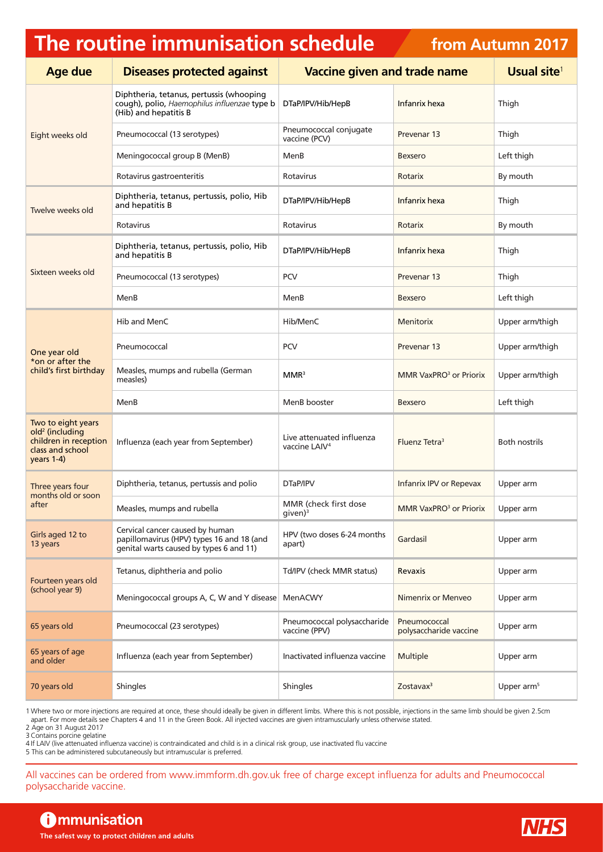## **The routine immunisation schedule**

## **from Autumn 2017**

| <b>Age due</b>                                                                                                 | <b>Diseases protected against</b>                                                                                       | <b>Vaccine given and trade name</b>                    |                                        | Usual site <sup>1</sup> |
|----------------------------------------------------------------------------------------------------------------|-------------------------------------------------------------------------------------------------------------------------|--------------------------------------------------------|----------------------------------------|-------------------------|
| Eight weeks old                                                                                                | Diphtheria, tetanus, pertussis (whooping<br>cough), polio, Haemophilus influenzae type b<br>(Hib) and hepatitis B       | DTaP/IPV/Hib/HepB                                      | Infanrix hexa                          | Thigh                   |
|                                                                                                                | Pneumococcal (13 serotypes)                                                                                             | Pneumococcal conjugate<br>vaccine (PCV)                | Prevenar 13                            | Thigh                   |
|                                                                                                                | Meningococcal group B (MenB)                                                                                            | MenB                                                   | <b>Bexsero</b>                         | Left thigh              |
|                                                                                                                | Rotavirus gastroenteritis                                                                                               | Rotavirus                                              | Rotarix                                | By mouth                |
| Twelve weeks old                                                                                               | Diphtheria, tetanus, pertussis, polio, Hib<br>and hepatitis B                                                           | DTaP/IPV/Hib/HepB                                      | Infanrix hexa                          | Thigh                   |
|                                                                                                                | Rotavirus                                                                                                               | Rotavirus                                              | Rotarix                                | By mouth                |
| Sixteen weeks old                                                                                              | Diphtheria, tetanus, pertussis, polio, Hib<br>and hepatitis B                                                           | DTaP/IPV/Hib/HepB                                      | Infanrix hexa                          | Thigh                   |
|                                                                                                                | Pneumococcal (13 serotypes)                                                                                             | <b>PCV</b>                                             | Prevenar 13                            | Thigh                   |
|                                                                                                                | MenB                                                                                                                    | MenB                                                   | <b>Bexsero</b>                         | Left thigh              |
| One year old<br>*on or after the<br>child's first birthday                                                     | Hib and MenC                                                                                                            | Hib/MenC                                               | <b>Menitorix</b>                       | Upper arm/thigh         |
|                                                                                                                | Pneumococcal                                                                                                            | <b>PCV</b>                                             | Prevenar 13                            | Upper arm/thigh         |
|                                                                                                                | Measles, mumps and rubella (German<br>measles)                                                                          | MMR <sup>3</sup>                                       | MMR VaxPRO <sup>3</sup> or Priorix     | Upper arm/thigh         |
|                                                                                                                | MenB                                                                                                                    | MenB booster                                           | <b>Bexsero</b>                         | Left thigh              |
| Two to eight years<br>old <sup>2</sup> (including<br>children in reception<br>class and school<br>$years 1-4)$ | Influenza (each year from September)                                                                                    | Live attenuated influenza<br>vaccine LAIV <sup>4</sup> | Fluenz Tetra <sup>3</sup>              | <b>Both nostrils</b>    |
| Three years four<br>months old or soon<br>after                                                                | Diphtheria, tetanus, pertussis and polio                                                                                | DTaP/IPV                                               | Infanrix IPV or Repevax                | Upper arm               |
|                                                                                                                | Measles, mumps and rubella                                                                                              | MMR (check first dose<br>given) <sup>3</sup>           | MMR VaxPRO <sup>3</sup> or Priorix     | Upper arm               |
| Girls aged 12 to<br>13 years                                                                                   | Cervical cancer caused by human<br>papillomavirus (HPV) types 16 and 18 (and<br>genital warts caused by types 6 and 11) | HPV (two doses 6-24 months<br>apart)                   | Gardasil                               | Upper arm               |
| Fourteen years old<br>(school year 9)                                                                          | Tetanus, diphtheria and polio                                                                                           | Td/IPV (check MMR status)                              | Revaxis                                | Upper arm               |
|                                                                                                                | Meningococcal groups A, C, W and Y disease                                                                              | MenACWY                                                | Nimenrix or Menveo                     | Upper arm               |
| 65 years old                                                                                                   | Pneumococcal (23 serotypes)                                                                                             | Pneumococcal polysaccharide<br>vaccine (PPV)           | Pneumococcal<br>polysaccharide vaccine | Upper arm               |
| 65 years of age<br>and older                                                                                   | Influenza (each year from September)                                                                                    | Inactivated influenza vaccine                          | Multiple                               | Upper arm               |
| 70 years old                                                                                                   | Shingles                                                                                                                | Shingles                                               | Zostavax <sup>3</sup>                  | Upper arm <sup>5</sup>  |

1 Where two or more injections are required at once, these should ideally be given in different limbs. Where this is not possible, injections in the same limb should be given 2.5cm

apart. For more details see Chapters 4 and 11 in the Green Book. All injected vaccines are given intramuscularly unless otherwise stated. 2 Age on 31 August 2017

3Contains porcine gelatine

4 If LAIV (live attenuated influenza vaccine) is contraindicated and child is in a clinical risk group, use inactivated flu vaccine

5 This can be administered subcutaneously but intramuscular is preferred.

All vaccines can be ordered from [www.immform.dh.gov.uk](http://www.immform.dh.gov.uk) free of charge except influenza for adults and Pneumococcal polysaccharide vaccine.

**f** mmunisation